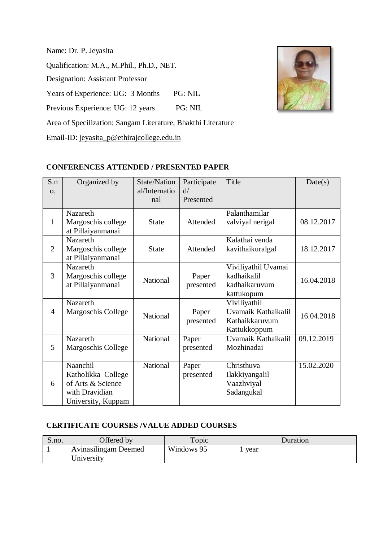Name: Dr. P. Jeyasita Qualification: M.A., M.Phil., Ph.D., NET. Designation: Assistant Professor Years of Experience: UG: 3 Months PG: NIL Previous Experience: UG: 12 years PG: NIL Area of Specilization: Sangam Literature, Bhakthi Literature

Email-ID: [jeyasita\\_p@ethirajcollege.edu.in](mailto:xxxx@ethirajcollege.edu.in)

## **CONFERENCES ATTENDED / PRESENTED PAPER**

| S.n            | Organized by       | <b>State/Nation</b> | Participate | Title               | Date(s)    |
|----------------|--------------------|---------------------|-------------|---------------------|------------|
| <b>O.</b>      |                    | al/Internatio       | d/          |                     |            |
|                |                    | nal                 | Presented   |                     |            |
|                | Nazareth           |                     |             | Palanthamilar       |            |
| $\mathbf{1}$   | Margoschis college | <b>State</b>        | Attended    | valviyal nerigal    | 08.12.2017 |
|                | at Pillaiyanmanai  |                     |             |                     |            |
|                | <b>Nazareth</b>    |                     |             | Kalathai venda      |            |
| $\overline{2}$ | Margoschis college | <b>State</b>        | Attended    | kavithaikuralgal    | 18.12.2017 |
|                | at Pillaiyanmanai  |                     |             |                     |            |
|                | Nazareth           |                     |             | Viviliyathil Uvamai |            |
| 3              | Margoschis college | National            | Paper       | kadhaikalil         | 16.04.2018 |
|                | at Pillaiyanmanai  |                     | presented   | kadhaikaruvum       |            |
|                |                    |                     |             | kattukopum          |            |
|                | Nazareth           |                     |             | Viviliyathil        |            |
| $\overline{4}$ | Margoschis College | National            | Paper       | Uvamaik Kathaikalil | 16.04.2018 |
|                |                    |                     | presented   | Kathaikkaruvum      |            |
|                |                    |                     |             | Kattukkoppum        |            |
|                | Nazareth           | National            | Paper       | Uvamaik Kathaikalil | 09.12.2019 |
| 5              | Margoschis College |                     | presented   | Mozhinadai          |            |
|                |                    |                     |             |                     |            |
|                | Naanchil           | National            | Paper       | Christhuva          | 15.02.2020 |
|                | Katholikka College |                     | presented   | Ilakkiyangalil      |            |
| 6              | of Arts & Science  |                     |             | Vaazhviyal          |            |
|                | with Dravidian     |                     |             | Sadangukal          |            |
|                | University, Kuppam |                     |             |                     |            |

### **CERTIFICATE COURSES /VALUE ADDED COURSES**

| S.no. | Offered by                  | <b>Topic</b> | Duration |
|-------|-----------------------------|--------------|----------|
|       | <b>Avinasilingam Deemed</b> | Windows 95   | vear     |
|       | University                  |              |          |

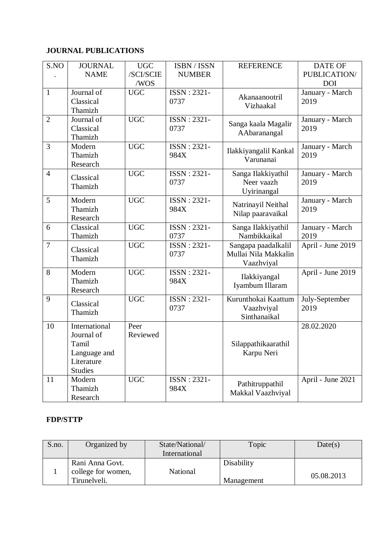# **JOURNAL PUBLICATIONS**

| S.NO           | <b>JOURNAL</b>               | <b>UGC</b>       | ISBN / ISSN         | <b>REFERENCE</b>      | <b>DATE OF</b>          |
|----------------|------------------------------|------------------|---------------------|-----------------------|-------------------------|
|                | <b>NAME</b>                  | /SCI/SCIE        | <b>NUMBER</b>       |                       | PUBLICATION/            |
|                |                              | /WOS             |                     |                       | <b>DOI</b>              |
| $\mathbf{1}$   | Journal of<br>Classical      | <b>UGC</b>       | ISSN: 2321-<br>0737 | Akanaanootril         | January - March<br>2019 |
|                | Thamizh                      |                  |                     | Vizhaakal             |                         |
| $\overline{2}$ | Journal of                   | <b>UGC</b>       | ISSN: 2321-         |                       | January - March         |
|                | Classical                    |                  | 0737                | Sanga kaala Magalir   | 2019                    |
|                | Thamizh                      |                  |                     | AAbaranangal          |                         |
| 3              | Modern                       | <b>UGC</b>       | ISSN: 2321-         | Ilakkiyangalil Kankal | January - March         |
|                | Thamizh                      |                  | 984X                | Varunanai             | 2019                    |
|                | Research                     |                  |                     |                       |                         |
| $\overline{4}$ | Classical                    | <b>UGC</b>       | ISSN: 2321-         | Sanga Ilakkiyathil    | January - March         |
|                | Thamizh                      |                  | 0737                | Neer vaazh            | 2019                    |
| 5              | Modern                       | <b>UGC</b>       | ISSN: 2321-         | Uyirinangal           | January - March         |
|                | Thamizh                      |                  | 984X                | Natrinayil Neithal    | 2019                    |
|                | Research                     |                  |                     | Nilap paaravaikal     |                         |
| 6              | Classical                    | <b>UGC</b>       | ISSN: 2321-         | Sanga Ilakkiyathil    | January - March         |
|                | Thamizh                      |                  | 0737                | Nambikkaikal          | 2019                    |
| $\overline{7}$ | Classical                    | <b>UGC</b>       | ISSN: 2321-         | Sangapa paadalkalil   | April - June 2019       |
|                | Thamizh                      |                  | 0737                | Mullai Nila Makkalin  |                         |
|                |                              |                  |                     | Vaazhviyal            |                         |
| 8              | Modern                       | <b>UGC</b>       | ISSN: 2321-         | Ilakkiyangal          | April - June 2019       |
|                | Thamizh<br>Research          |                  | 984X                | Iyambum Illaram       |                         |
| 9              |                              | <b>UGC</b>       | ISSN: 2321-         | Kurunthokai Kaattum   | July-September          |
|                | Classical                    |                  | 0737                | Vaazhviyal            | 2019                    |
|                | Thamizh                      |                  |                     | Sinthanaikal          |                         |
| 10             | International                | Peer             |                     |                       | 28.02.2020              |
|                | Journal of                   | Reviewed         |                     |                       |                         |
|                | Tamil                        |                  |                     | Silappathikaarathil   |                         |
|                | Language and                 |                  |                     | Karpu Neri            |                         |
|                | Literature<br><b>Studies</b> |                  |                     |                       |                         |
| 11             | Modern                       | $\overline{UGC}$ | ISSN: 2321-         |                       | April - June 2021       |
|                | Thamizh                      |                  | 984X                | Pathitruppathil       |                         |
|                | Research                     |                  |                     | Makkal Vaazhviyal     |                         |

### **FDP/STTP**

| S.no. | Organized by                                          | State/National/<br>International | Topic                    | Date(s)    |
|-------|-------------------------------------------------------|----------------------------------|--------------------------|------------|
|       | Rani Anna Govt.<br>college for women,<br>Tirunelveli. | National                         | Disability<br>Management | 05.08.2013 |